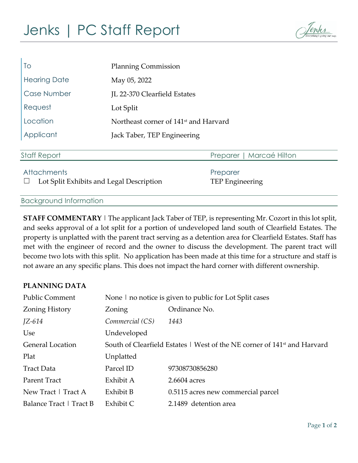# Jenks | PC Staff Report



| To                  | <b>Planning Commission</b>                        |  |  |
|---------------------|---------------------------------------------------|--|--|
| <b>Hearing Date</b> | May 05, 2022                                      |  |  |
| <b>Case Number</b>  | JL 22-370 Clearfield Estates                      |  |  |
| Request             | Lot Split                                         |  |  |
| Location            | Northeast corner of 141 <sup>st</sup> and Harvard |  |  |
| Applicant           | Jack Taber, TEP Engineering                       |  |  |
|                     |                                                   |  |  |
| <b>Staff Report</b> | Preparer   Marcaé Hilton                          |  |  |
| <b>Attachments</b>  | Preparer                                          |  |  |

☐ Lot Split Exhibits and Legal Description TEP Engineering

#### Background Information

**STAFF COMMENTARY** | The applicant Jack Taber of TEP, is representing Mr. Cozort in this lot split, and seeks approval of a lot split for a portion of undeveloped land south of Clearfield Estates. The property is unplatted with the parent tract serving as a detention area for Clearfield Estates. Staff has met with the engineer of record and the owner to discuss the development. The parent tract will become two lots with this split. No application has been made at this time for a structure and staff is not aware an any specific plans. This does not impact the hard corner with different ownership.

#### **PLANNING DATA**

| <b>Public Comment</b>   | None   no notice is given to public for Lot Split cases                              |                                    |  |
|-------------------------|--------------------------------------------------------------------------------------|------------------------------------|--|
| <b>Zoning History</b>   | Zoning                                                                               | Ordinance No.                      |  |
| JZ-614                  | Commercial (CS)                                                                      | 1443                               |  |
| Use                     | Undeveloped                                                                          |                                    |  |
| <b>General Location</b> | South of Clearfield Estates   West of the NE corner of 141 <sup>st</sup> and Harvard |                                    |  |
| Plat                    | Unplatted                                                                            |                                    |  |
| <b>Tract Data</b>       | Parcel ID                                                                            | 97308730856280                     |  |
| Parent Tract            | Exhibit A                                                                            | 2.6604 acres                       |  |
| New Tract   Tract A     | Exhibit B                                                                            | 0.5115 acres new commercial parcel |  |
| Balance Tract   Tract B | Exhibit C                                                                            | 2.1489 detention area              |  |